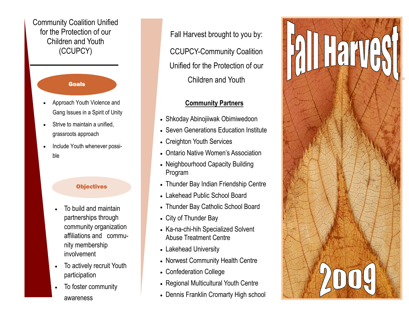Community Coalition Unified for the Protection of our Children and Youth (CCUPCY)

## **Goals**

- Approach Youth Violence and Gang Issues in a Spirit of Unity
- Strive to maintain a unified. grassroots approach
- Include Youth whenever possible

## **Objectives**

- To build and maintain partnerships through community organization affiliations and community membership involvement
- To actively recruit Youth participation
- To foster community awareness

Fall Harvest brought to you by: CCUPCY-Community Coalition Unified for the Protection of our Children and Youth

## Community Partners

- Shkoday Abinojiiwak Obimiwedoon
- Seven Generations Education Institute
- Creighton Youth Services
- Ontario Native Women's Association
- Neighbourhood Capacity Building Program
- Thunder Bay Indian Friendship Centre
- Lakehead Public School Board
- Thunder Bay Catholic School Board
- City of Thunder Bay
- Ka-na-chi-hih Specialized Solvent Abuse Treatment Centre
- Lakehead University
- Norwest Community Health Centre
- Confederation College
- Regional Multicultural Youth Centre
- Dennis Franklin Cromarty High school